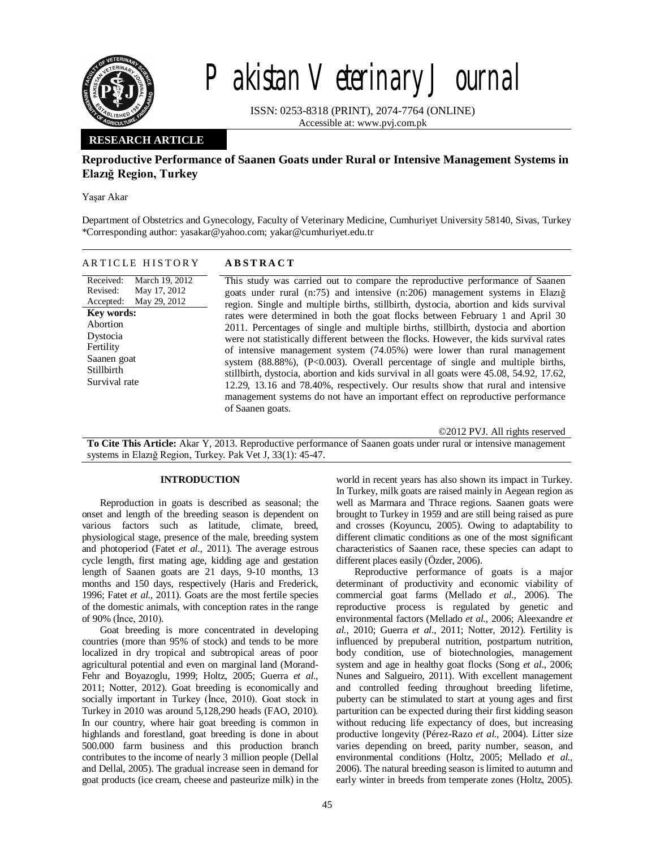

# Pakistan Veterinary Journal

ISSN: 0253-8318 (PRINT), 2074-7764 (ONLINE) Accessible at: www.pvj.com.pk

## **RESEARCH ARTICLE**

# **Reproductive Performance of Saanen Goats under Rural or Intensive Management Systems in Elazığ Region, Turkey**

Yaşar Akar

Department of Obstetrics and Gynecology, Faculty of Veterinary Medicine, Cumhuriyet University 58140, Sivas, Turkey \*Corresponding author: yasakar@yahoo.com; yakar@cumhuriyet.edu.tr

| ARTICLE HISTORY | <b>ABSTRACT</b> |
|-----------------|-----------------|
|-----------------|-----------------|

Received: Revised: Accepted: March 19, 2012 May 17, 2012 May 29, 2012 **Key words:**  Abortion Dystocia Fertility Saanen goat Stillbirth Survival rate

This study was carried out to compare the reproductive performance of Saanen goats under rural (n:75) and intensive (n:206) management systems in Elazığ region. Single and multiple births, stillbirth, dystocia, abortion and kids survival rates were determined in both the goat flocks between February 1 and April 30 2011. Percentages of single and multiple births, stillbirth, dystocia and abortion were not statistically different between the flocks. However, the kids survival rates of intensive management system (74.05%) were lower than rural management system  $(88.88\%)$ ,  $(P<0.003)$ . Overall percentage of single and multiple births, stillbirth, dystocia, abortion and kids survival in all goats were 45.08, 54.92, 17.62, 12.29, 13.16 and 78.40%, respectively. Our results show that rural and intensive management systems do not have an important effect on reproductive performance of Saanen goats.

©2012 PVJ. All rights reserved

**To Cite This Article:** Akar Y, 2013. Reproductive performance of Saanen goats under rural or intensive management systems in Elazığ Region, Turkey. Pak Vet J, 33(1): 45-47.

## **INTRODUCTION**

Reproduction in goats is described as seasonal; the onset and length of the breeding season is dependent on various factors such as latitude, climate, breed, physiological stage, presence of the male, breeding system and photoperiod (Fatet *et al.,* 2011). The average estrous cycle length, first mating age, kidding age and gestation length of Saanen goats are 21 days, 9-10 months, 13 months and 150 days, respectively (Haris and Frederick, 1996; Fatet *et al.,* 2011). Goats are the most fertile species of the domestic animals, with conception rates in the range of 90% (İnce, 2010).

Goat breeding is more concentrated in developing countries (more than 95% of stock) and tends to be more localized in dry tropical and subtropical areas of poor agricultural potential and even on marginal land (Morand-Fehr and Boyazoglu, 1999; Holtz, 2005; Guerra *et al*., 2011; Notter, 2012). Goat breeding is economically and socially important in Turkey (İnce, 2010). Goat stock in Turkey in 2010 was around 5,128,290 heads (FAO, 2010). In our country, where hair goat breeding is common in highlands and forestland, goat breeding is done in about 500.000 farm business and this production branch contributes to the income of nearly 3 million people (Dellal and Dellal, 2005). The gradual increase seen in demand for goat products (ice cream, cheese and pasteurize milk) in the

world in recent years has also shown its impact in Turkey. In Turkey, milk goats are raised mainly in Aegean region as well as Marmara and Thrace regions. Saanen goats were brought to Turkey in 1959 and are still being raised as pure and crosses (Koyuncu, 2005). Owing to adaptability to different climatic conditions as one of the most significant characteristics of Saanen race, these species can adapt to different places easily (Özder, 2006).

Reproductive performance of goats is a major determinant of productivity and economic viability of commercial goat farms (Mellado *et al.,* 2006). The reproductive process is regulated by genetic and environmental factors (Mellado *et al.,* 2006; Aleexandre *et al.,* 2010; Guerra *et al*., 2011; Notter, 2012). Fertility is influenced by prepuberal nutrition, postpartum nutrition, body condition, use of biotechnologies, management system and age in healthy goat flocks (Song *et al*., 2006; Nunes and Salgueiro, 2011). With excellent management and controlled feeding throughout breeding lifetime, puberty can be stimulated to start at young ages and first parturition can be expected during their first kidding season without reducing life expectancy of does, but increasing productive longevity (Pérez-Razo *et al.,* 2004). Litter size varies depending on breed, parity number, season, and environmental conditions (Holtz, 2005; Mellado *et al.,* 2006). The natural breeding season is limited to autumn and early winter in breeds from temperate zones (Holtz, 2005).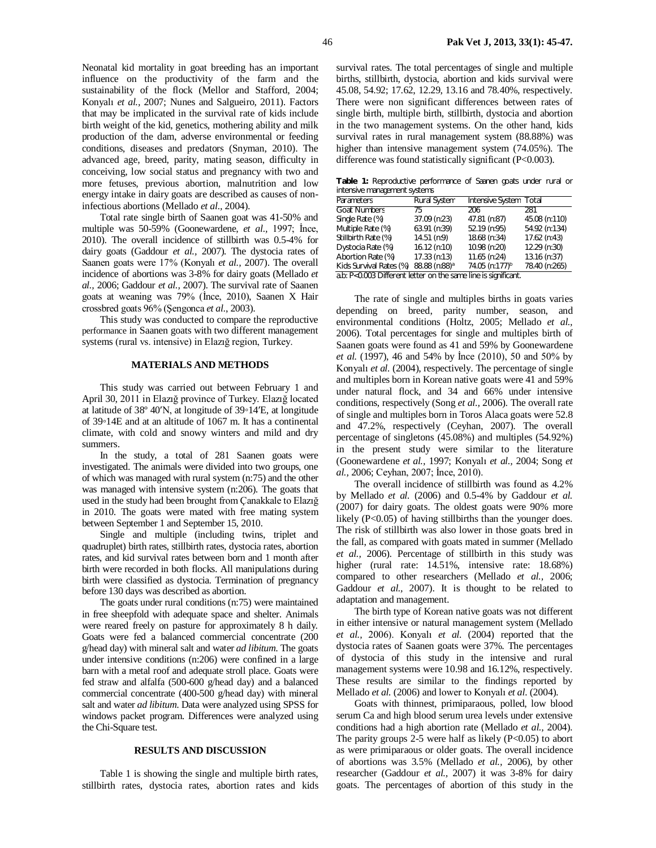Neonatal kid mortality in goat breeding has an important influence on the productivity of the farm and the sustainability of the flock (Mellor and Stafford, 2004; Konyalı *et al.,* 2007; Nunes and Salgueiro, 2011). Factors that may be implicated in the survival rate of kids include birth weight of the kid, genetics, mothering ability and milk production of the dam, adverse environmental or feeding conditions, diseases and predators (Snyman, 2010). The advanced age, breed, parity, mating season, difficulty in conceiving, low social status and pregnancy with two and more fetuses, previous abortion, malnutrition and low energy intake in dairy goats are described as causes of noninfectious abortions (Mellado *et al.,* 2004).

Total rate single birth of Saanen goat was 41-50% and multiple was 50-59% (Goonewardene, *et al.,* 1997; İnce, 2010). The overall incidence of stillbirth was 0.5-4% for dairy goats (Gaddour *et al.,* 2007). The dystocia rates of Saanen goats were 17% (Konyalı *et al.,* 2007). The overall incidence of abortions was 3-8% for dairy goats (Mellado *et al.,* 2006; Gaddour *et al.,* 2007). The survival rate of Saanen goats at weaning was 79% (İnce, 2010), Saanen X Hair crossbred goats 96% (Şengonca *et al*., 2003).

This study was conducted to compare the reproductive performance in Saanen goats with two different management systems (rural vs. intensive) in Elazığ region, Turkey.

## **MATERIALS AND METHODS**

This study was carried out between February 1 and April 30, 2011 in Elazığ province of Turkey. Elazığ located at latitude of 38º 40ʹN, at longitude of 39◦14ʹE, at longitude of 39◦14E and at an altitude of 1067 m. It has a continental climate, with cold and snowy winters and mild and dry summers.

In the study, a total of 281 Saanen goats were investigated. The animals were divided into two groups, one of which was managed with rural system (n:75) and the other was managed with intensive system (n:206). The goats that used in the study had been brought from Çanakkale to Elazığ in 2010. The goats were mated with free mating system between September 1 and September 15, 2010.

Single and multiple (including twins, triplet and quadruplet) birth rates, stillbirth rates, dystocia rates, abortion rates, and kid survival rates between born and 1 month after birth were recorded in both flocks. All manipulations during birth were classified as dystocia. Termination of pregnancy before 130 days was described as abortion.

The goats under rural conditions (n:75) were maintained in free sheepfold with adequate space and shelter. Animals were reared freely on pasture for approximately 8 h daily. Goats were fed a balanced commercial concentrate (200 g/head day) with mineral salt and water *ad libitum*. The goats under intensive conditions (n:206) were confined in a large barn with a metal roof and adequate stroll place. Goats were fed straw and alfalfa (500-600 g/head day) and a balanced commercial concentrate (400-500 g/head day) with mineral salt and water *ad libitum*. Data were analyzed using SPSS for windows packet program. Differences were analyzed using the Chi-Square test.

## **RESULTS AND DISCUSSION**

Table 1 is showing the single and multiple birth rates, stillbirth rates, dystocia rates, abortion rates and kids

survival rates. The total percentages of single and multiple births, stillbirth, dystocia, abortion and kids survival were 45.08, 54.92; 17.62, 12.29, 13.16 and 78.40%, respectively. There were non significant differences between rates of single birth, multiple birth, stillbirth, dystocia and abortion in the two management systems. On the other hand, kids survival rates in rural management system (88.88%) was higher than intensive management system (74.05%). The difference was found statistically significant (P<0.003).

**Table 1:** Reproductive performance of Saanen goats under rural or intensive management systems

| Parameters                                                     | <b>Rural System</b>       | Intensive System Total     |               |
|----------------------------------------------------------------|---------------------------|----------------------------|---------------|
| <b>Goat Numbers</b>                                            | 75                        | 206                        | 281           |
| Single Rate (%)                                                | 37.09 (n:23)              | 47.81 (n:87)               | 45.08 (n:110) |
| Multiple Rate (%)                                              | 63.91 (n:39)              | 52.19 (n:95)               | 54.92 (n:134) |
| Stillbirth Rate (%)                                            | $14.51$ (n:9)             | 18.68 (n:34)               | 17.62 (n:43)  |
| Dystocia Rate (%)                                              | $16.12$ (n:10)            | 10.98 (n:20)               | 12.29 (n:30)  |
| Abortion Rate (%)                                              | 17.33 (n:13)              | 11.65 (n:24)               | 13.16 (n:37)  |
| Kids Survival Rates (%)                                        | 88.88 (n:88) <sup>a</sup> | 74.05 (n:177) <sup>b</sup> | 78.40 (n:265) |
| a.b: P<0.003 Different letter on the same line is significant. |                           |                            |               |

The rate of single and multiples births in goats varies depending on breed, parity number, season, and environmental conditions (Holtz, 2005; Mellado *et al.,* 2006). Total percentages for single and multiples birth of Saanen goats were found as 41 and 59% by Goonewardene *et al.* (1997), 46 and 54% by İnce (2010), 50 and 50% by Konyalı *et al.* (2004), respectively. The percentage of single and multiples born in Korean native goats were 41 and 59% under natural flock, and 34 and 66% under intensive conditions, respectively (Song *et al.,* 2006). The overall rate of single and multiples born in Toros Alaca goats were 52.8 and 47.2%, respectively (Ceyhan, 2007). The overall percentage of singletons (45.08%) and multiples (54.92%) in the present study were similar to the literature (Goonewardene *et al.,* 1997; Konyalı *et al.,* 2004; Song *et al.,* 2006; Ceyhan, 2007; İnce, 2010).

The overall incidence of stillbirth was found as 4.2% by Mellado *et al.* (2006) and 0.5-4% by Gaddour *et al.*  (2007) for dairy goats. The oldest goats were 90% more likely (P<0.05) of having stillbirths than the younger does. The risk of stillbirth was also lower in those goats bred in the fall, as compared with goats mated in summer (Mellado *et al.,* 2006). Percentage of stillbirth in this study was higher (rural rate: 14.51%, intensive rate: 18.68%) compared to other researchers (Mellado *et al.,* 2006; Gaddour *et al.,* 2007). It is thought to be related to adaptation and management.

The birth type of Korean native goats was not different in either intensive or natural management system (Mellado *et al.,* 2006). Konyalı *et al.* (2004) reported that the dystocia rates of Saanen goats were 37%. The percentages of dystocia of this study in the intensive and rural management systems were 10.98 and 16.12%, respectively. These results are similar to the findings reported by Mellado *et al.* (2006) and lower to Konyalı *et al.* (2004).

Goats with thinnest, primiparaous, polled, low blood serum Ca and high blood serum urea levels under extensive conditions had a high abortion rate (Mellado *et al.,* 2004). The parity groups  $2-5$  were half as likely (P<0.05) to abort as were primiparaous or older goats. The overall incidence of abortions was 3.5% (Mellado *et al.,* 2006), by other researcher (Gaddour *et al.,* 2007) it was 3-8% for dairy goats. The percentages of abortion of this study in the